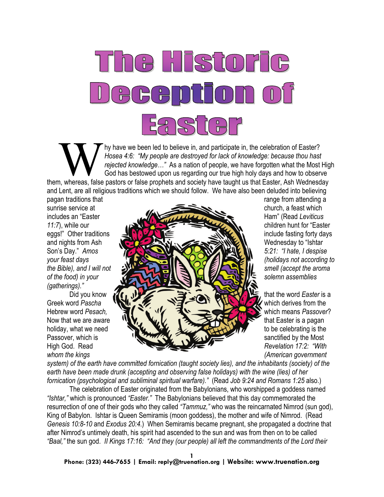

My have we been led to believe in, and participate in, the celebration of Easter?<br>
Hosea 4:6: "My people are destroyed for lack of knowledge: because thou hast<br>
rejected knowledge..." As a nation of people, we have forgott *Hosea 4:6: "My people are destroyed for lack of knowledge: because thou hast rejected knowledge…"* As a nation of people, we have forgotten what the Most High God has bestowed upon us regarding our true high holy days and how to observe and Lent, are all religious traditions which we should follow. We have also been deluded into believing

pagan traditions that range from attending a pagan traditions that *(gatherings)."*



*whom the kings (American government* 

*system) of the earth have committed fornication (taught society lies), and the inhabitants (society) of the earth have been made drunk (accepting and observing false holidays) with the wine (lies) of her fornication (psychological and subliminal spiritual warfare)."* (Read *Job 9:24 and Romans 1:25* also.)

The celebration of Easter originated from the Babylonians, who worshipped a goddess named *"Ishtar,"* which is pronounced *"Easter."* The Babylonians believed that this day commemorated the resurrection of one of their gods who they called *"Tammuz,"* who was the reincarnated Nimrod (sun god), King of Babylon. Ishtar is Queen Semiramis (moon goddess), the mother and wife of Nimrod. (Read *Genesis 10:8-10* and *Exodus 20:4*.) When Semiramis became pregnant, she propagated a doctrine that after Nimrod's untimely death, his spirit had ascended to the sun and was from then on to be called *"Baal,"* the sun god. *II Kings 17:16: "And they (our people) all left the commandments of the Lord their*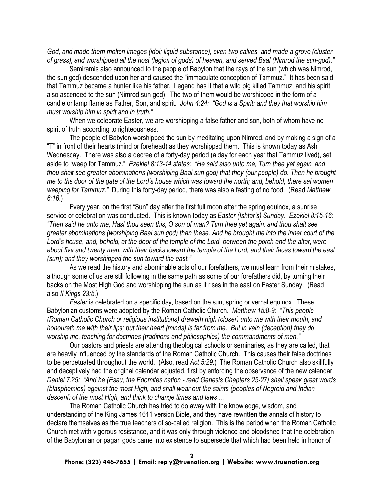*God, and made them molten images (idol; liquid substance), even two calves, and made a grove (cluster of grass), and worshipped all the host (legion of gods) of heaven, and served Baal (Nimrod the sun-god)."*

Semiramis also announced to the people of Babylon that the rays of the sun (which was Nimrod, the sun god) descended upon her and caused the "immaculate conception of Tammuz." It has been said that Tammuz became a hunter like his father. Legend has it that a wild pig killed Tammuz, and his spirit also ascended to the sun (Nimrod sun god). The two of them would be worshipped in the form of a candle or lamp flame as Father, Son, and spirit. *John 4:24: "God is a Spirit: and they that worship him must worship him in spirit and in truth."*

When we celebrate Easter, we are worshipping a false father and son, both of whom have no spirit of truth according to righteousness.

The people of Babylon worshipped the sun by meditating upon Nimrod, and by making a sign of a "T" in front of their hearts (mind or forehead) as they worshipped them. This is known today as Ash Wednesday. There was also a decree of a forty-day period (a day for each year that Tammuz lived), set aside to "weep for Tammuz." *Ezekiel 8:13-14 states: "He said also unto me, Turn thee yet again, and thou shalt see greater abominations (worshiping Baal sun god) that they (our people) do. Then he brought me to the door of the gate of the Lord's house which was toward the north; and, behold, there sat women weeping for Tammuz."* During this forty-day period, there was also a fasting of no food. (Read *Matthew 6:16*.)

Every year, on the first "Sun" day after the first full moon after the spring equinox, a sunrise service or celebration was conducted. This is known today as *Easter (Ishtar's) Sunday*. *Ezekiel 8:15-16: "Then said he unto me, Hast thou seen this, O son of man? Turn thee yet again, and thou shalt see greater abominations (worshiping Baal sun god) than these. And he brought me into the inner court of the Lord's house, and, behold, at the door of the temple of the Lord, between the porch and the altar, were about five and twenty men, with their backs toward the temple of the Lord, and their faces toward the east (sun); and they worshipped the sun toward the east."*

As we read the history and abominable acts of our forefathers, we must learn from their mistakes, although some of us are still following in the same path as some of our forefathers did, by turning their backs on the Most High God and worshipping the sun as it rises in the east on Easter Sunday. (Read also *II Kings 23:5*.)

*Easter* is celebrated on a specific day, based on the sun, spring or vernal equinox. These Babylonian customs were adopted by the Roman Catholic Church. *Matthew 15:8-9: "This people (Roman Catholic Church or religious institutions) draweth nigh (closer) unto me with their mouth, and honoureth me with their lips; but their heart (minds) is far from me. But in vain (deception) they do worship me, teaching for doctrines (traditions and philosophies) the commandments of men."*

Our pastors and priests are attending theological schools or seminaries, as they are called, that are heavily influenced by the standards of the Roman Catholic Church. This causes their false doctrines to be perpetuated throughout the world. (Also, read *Act 5:29*.) The Roman Catholic Church also skillfully and deceptively had the original calendar adjusted, first by enforcing the observance of the new calendar. *Daniel 7:25: "And he (Esau, the Edomites nation - read Genesis Chapters 25-27) shall speak great words (blasphemies) against the most High, and shall wear out the saints (peoples of Negroid and Indian descent) of the most High, and think to change times and laws …"*

The Roman Catholic Church has tried to do away with the knowledge, wisdom, and understanding of the King James 1611 version Bible, and they have rewritten the annals of history to declare themselves as the true teachers of so-called religion. This is the period when the Roman Catholic Church met with vigorous resistance, and it was only through violence and bloodshed that the celebration of the Babylonian or pagan gods came into existence to supersede that which had been held in honor of